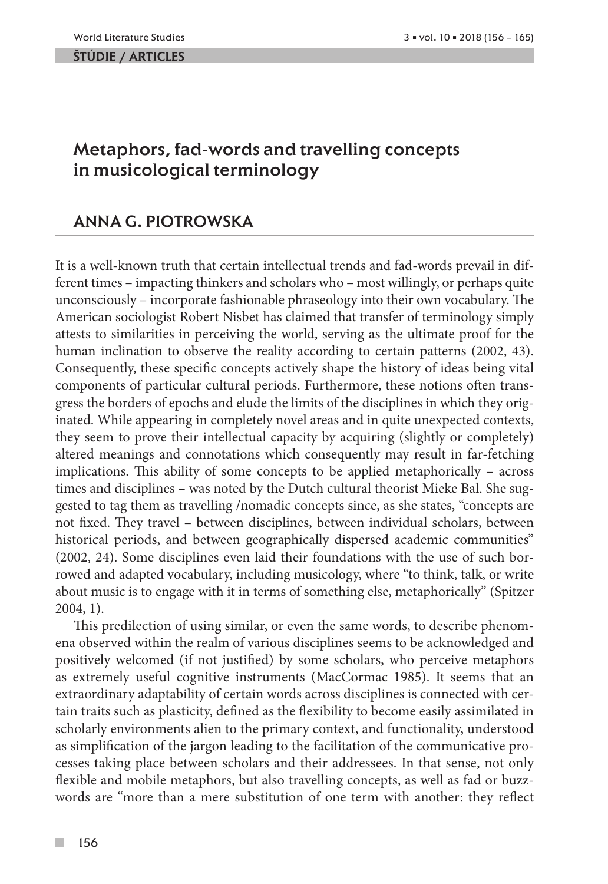#### ŠTÚDIE / ARTicles

# Metaphors, fad-words and travelling concepts in musicological terminology

## Anna G. Piotrowska

It is a well-known truth that certain intellectual trends and fad-words prevail in different times – impacting thinkers and scholars who – most willingly, or perhaps quite unconsciously – incorporate fashionable phraseology into their own vocabulary. The American sociologist Robert Nisbet has claimed that transfer of terminology simply attests to similarities in perceiving the world, serving as the ultimate proof for the human inclination to observe the reality according to certain patterns (2002, 43). Consequently, these specific concepts actively shape the history of ideas being vital components of particular cultural periods. Furthermore, these notions often transgress the borders of epochs and elude the limits of the disciplines in which they originated. While appearing in completely novel areas and in quite unexpected contexts, they seem to prove their intellectual capacity by acquiring (slightly or completely) altered meanings and connotations which consequently may result in far-fetching implications. This ability of some concepts to be applied metaphorically – across times and disciplines – was noted by the Dutch cultural theorist Mieke Bal. She suggested to tag them as travelling /nomadic concepts since, as she states, "concepts are not fixed. They travel – between disciplines, between individual scholars, between historical periods, and between geographically dispersed academic communities" (2002, 24). Some disciplines even laid their foundations with the use of such borrowed and adapted vocabulary, including musicology, where "to think, talk, or write about music is to engage with it in terms of something else, metaphorically" (Spitzer 2004, 1).

This predilection of using similar, or even the same words, to describe phenomena observed within the realm of various disciplines seems to be acknowledged and positively welcomed (if not justified) by some scholars, who perceive metaphors as extremely useful cognitive instruments (MacCormac 1985). It seems that an extraordinary adaptability of certain words across disciplines is connected with certain traits such as plasticity, defined as the flexibility to become easily assimilated in scholarly environments alien to the primary context, and functionality, understood as simplification of the jargon leading to the facilitation of the communicative processes taking place between scholars and their addressees. In that sense, not only flexible and mobile metaphors, but also travelling concepts, as well as fad or buzzwords are "more than a mere substitution of one term with another: they reflect

 $\mathcal{C}^{\mathcal{A}}$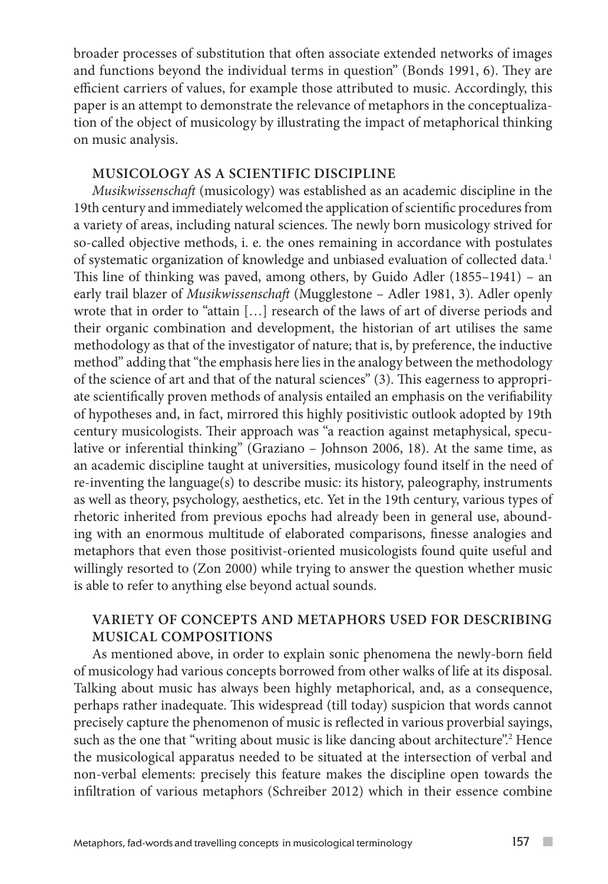broader processes of substitution that often associate extended networks of images and functions beyond the individual terms in question" (Bonds 1991, 6). They are efficient carriers of values, for example those attributed to music. Accordingly, this paper is an attempt to demonstrate the relevance of metaphors in the conceptualization of the object of musicology by illustrating the impact of metaphorical thinking on music analysis.

## **Musicology as a scientific discipline**

*Musikwissenschaft* (musicology) was established as an academic discipline in the 19th century and immediately welcomed the application of scientific procedures from a variety of areas, including natural sciences. The newly born musicology strived for so-called objective methods, i. e. the ones remaining in accordance with postulates of systematic organization of knowledge and unbiased evaluation of collected data.1 This line of thinking was paved, among others, by Guido Adler (1855–1941) – an early trail blazer of *Musikwissenschaft* (Mugglestone – Adler 1981, 3). Adler openly wrote that in order to "attain […] research of the laws of art of diverse periods and their organic combination and development, the historian of art utilises the same methodology as that of the investigator of nature; that is, by preference, the inductive method" adding that "the emphasis here lies in the analogy between the methodology of the science of art and that of the natural sciences" (3). This eagerness to appropriate scientifically proven methods of analysis entailed an emphasis on the verifiability of hypotheses and, in fact, mirrored this highly positivistic outlook adopted by 19th century musicologists. Their approach was "a reaction against metaphysical, speculative or inferential thinking" (Graziano – Johnson 2006, 18). At the same time, as an academic discipline taught at universities, musicology found itself in the need of re-inventing the language(s) to describe music: its history, paleography, instruments as well as theory, psychology, aesthetics, etc. Yet in the 19th century, various types of rhetoric inherited from previous epochs had already been in general use, abounding with an enormous multitude of elaborated comparisons, finesse analogies and metaphors that even those positivist-oriented musicologists found quite useful and willingly resorted to (Zon 2000) while trying to answer the question whether music is able to refer to anything else beyond actual sounds.

## **Variety of concepts and metaphors used for describing musical compositions**

As mentioned above, in order to explain sonic phenomena the newly-born field of musicology had various concepts borrowed from other walks of life at its disposal. Talking about music has always been highly metaphorical, and, as a consequence, perhaps rather inadequate. This widespread (till today) suspicion that words cannot precisely capture the phenomenon of music is reflected in various proverbial sayings, such as the one that "writing about music is like dancing about architecture".2 Hence the musicological apparatus needed to be situated at the intersection of verbal and non-verbal elements: precisely this feature makes the discipline open towards the infiltration of various metaphors (Schreiber 2012) which in their essence combine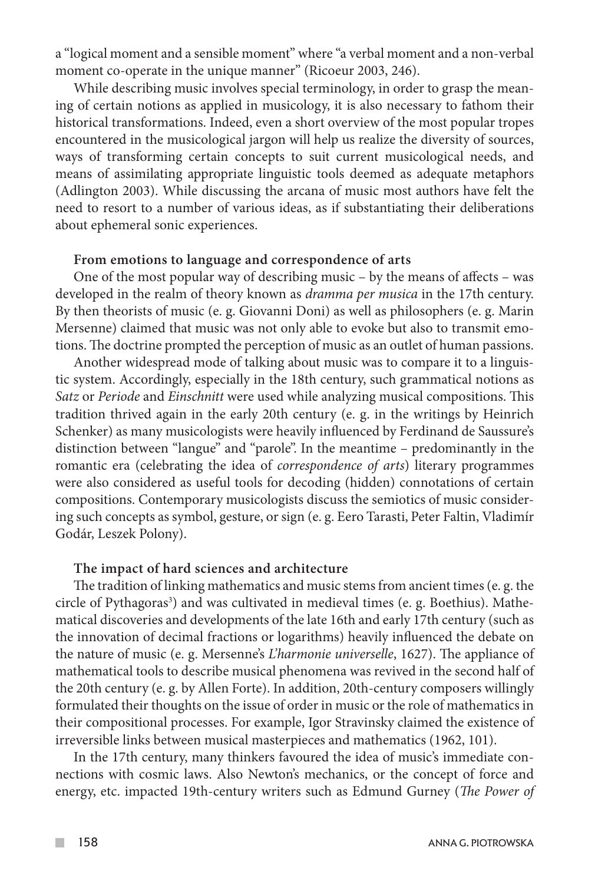a "logical moment and a sensible moment" where "a verbal moment and a non-verbal moment co-operate in the unique manner" (Ricoeur 2003, 246).

While describing music involves special terminology, in order to grasp the meaning of certain notions as applied in musicology, it is also necessary to fathom their historical transformations. Indeed, even a short overview of the most popular tropes encountered in the musicological jargon will help us realize the diversity of sources, ways of transforming certain concepts to suit current musicological needs, and means of assimilating appropriate linguistic tools deemed as adequate metaphors (Adlington 2003). While discussing the arcana of music most authors have felt the need to resort to a number of various ideas, as if substantiating their deliberations about ephemeral sonic experiences.

#### **From emotions to language and correspondence of arts**

One of the most popular way of describing music – by the means of affects – was developed in the realm of theory known as *dramma per musica* in the 17th century. By then theorists of music (e. g. Giovanni Doni) as well as philosophers (e. g. Marin Mersenne) claimed that music was not only able to evoke but also to transmit emotions. The doctrine prompted the perception of music as an outlet of human passions.

Another widespread mode of talking about music was to compare it to a linguistic system. Accordingly, especially in the 18th century, such grammatical notions as *Satz* or *Periode* and *Einschnitt* were used while analyzing musical compositions. This tradition thrived again in the early 20th century (e. g. in the writings by Heinrich Schenker) as many musicologists were heavily influenced by Ferdinand de Saussure's distinction between "langue" and "parole". In the meantime – predominantly in the romantic era (celebrating the idea of *correspondence of arts*) literary programmes were also considered as useful tools for decoding (hidden) connotations of certain compositions. Contemporary musicologists discuss the semiotics of music considering such concepts as symbol, gesture, or sign (e. g. Eero Tarasti, Peter Faltin, Vladimír Godár, Leszek Polony).

#### **The impact of hard sciences and architecture**

The tradition of linking mathematics and music stems from ancient times (e. g. the circle of Pythagoras<sup>3</sup>) and was cultivated in medieval times (e. g. Boethius). Mathematical discoveries and developments of the late 16th and early 17th century (such as the innovation of decimal fractions or logarithms) heavily influenced the debate on the nature of music (e. g. Mersenne's *L'harmonie universelle*, 1627). The appliance of mathematical tools to describe musical phenomena was revived in the second half of the 20th century (e. g. by Allen Forte). In addition, 20th-century composers willingly formulated their thoughts on the issue of order in music or the role of mathematics in their compositional processes. For example, Igor Stravinsky claimed the existence of irreversible links between musical masterpieces and mathematics (1962, 101).

In the 17th century, many thinkers favoured the idea of music's immediate connections with cosmic laws. Also Newton's mechanics, or the concept of force and energy, etc. impacted 19th-century writers such as Edmund Gurney (*The Power of* 

 $\mathcal{C}^{\mathcal{A}}$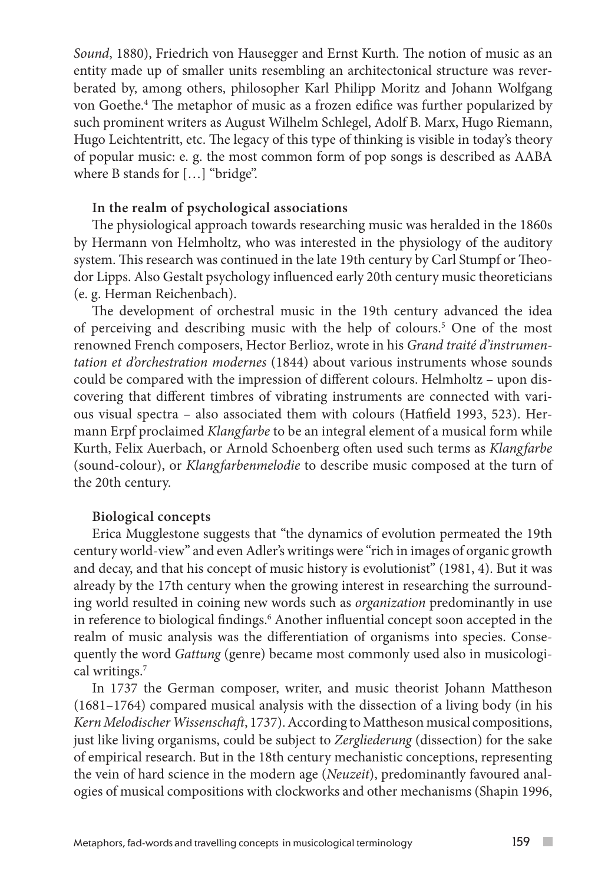*Sound*, 1880), Friedrich von Hausegger and Ernst Kurth. The notion of music as an entity made up of smaller units resembling an architectonical structure was reverberated by, among others, philosopher Karl Philipp Moritz and Johann Wolfgang von Goethe.4 The metaphor of music as a frozen edifice was further popularized by such prominent writers as August Wilhelm Schlegel, Adolf B. Marx, Hugo Riemann, Hugo Leichtentritt, etc. The legacy of this type of thinking is visible in today's theory of popular music: e. g. the most common form of pop songs is described as AABA where B stands for […] "bridge".

## **In the realm of psychological associations**

The physiological approach towards researching music was heralded in the 1860s by Hermann von Helmholtz, who was interested in the physiology of the auditory system. This research was continued in the late 19th century by Carl Stumpf or Theodor Lipps. Also Gestalt psychology influenced early 20th century music theoreticians (e. g. Herman Reichenbach).

The development of orchestral music in the 19th century advanced the idea of perceiving and describing music with the help of colours.<sup>5</sup> One of the most renowned French composers, Hector Berlioz, wrote in his *Grand traité d'instrumentation et d'orchestration modernes* (1844) about various instruments whose sounds could be compared with the impression of different colours. Helmholtz – upon discovering that different timbres of vibrating instruments are connected with various visual spectra – also associated them with colours (Hatfield 1993, 523). Hermann Erpf proclaimed *Klangfarbe* to be an integral element of a musical form while Kurth, Felix Auerbach, or Arnold Schoenberg often used such terms as *Klangfarbe* (sound-colour), or *Klangfarbenmelodie* to describe music composed at the turn of the 20th century.

### **Biological concepts**

Erica Mugglestone suggests that "the dynamics of evolution permeated the 19th century world-view" and even Adler's writings were "rich in images of organic growth and decay, and that his concept of music history is evolutionist" (1981, 4). But it was already by the 17th century when the growing interest in researching the surrounding world resulted in coining new words such as *organization* predominantly in use in reference to biological findings.<sup>6</sup> Another influential concept soon accepted in the realm of music analysis was the differentiation of organisms into species. Consequently the word *Gattung* (genre) became most commonly used also in musicological writings.7

In 1737 the German composer, writer, and music theorist Johann Mattheson (1681–1764) compared musical analysis with the dissection of a living body (in his *Kern Melodischer Wissenschaft*, 1737). According to Mattheson musical compositions, just like living organisms, could be subject to *Zergliederung* (dissection) for the sake of empirical research. But in the 18th century mechanistic conceptions, representing the vein of hard science in the modern age (*Neuzeit*), predominantly favoured analogies of musical compositions with clockworks and other mechanisms (Shapin 1996,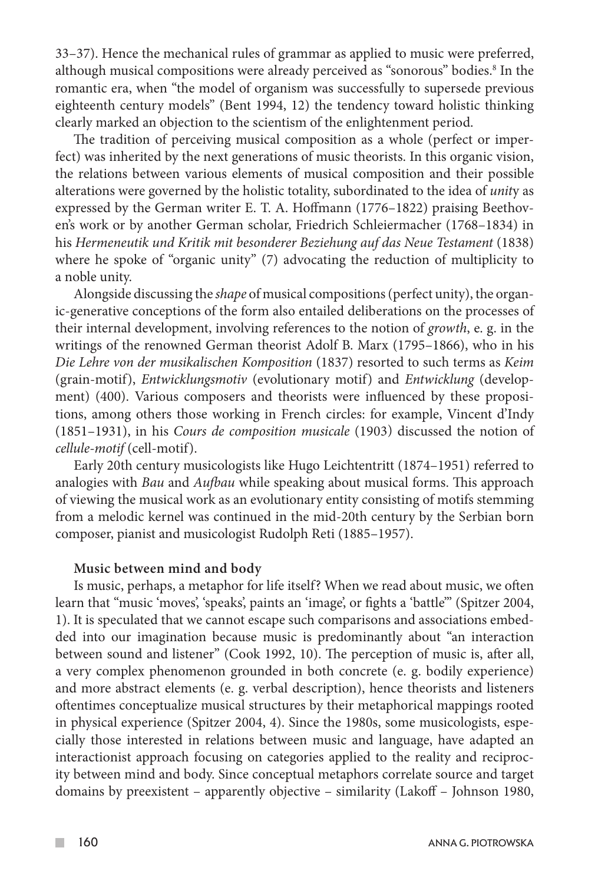33–37). Hence the mechanical rules of grammar as applied to music were preferred, although musical compositions were already perceived as "sonorous" bodies.<sup>8</sup> In the romantic era, when "the model of organism was successfully to supersede previous eighteenth century models" (Bent 1994, 12) the tendency toward holistic thinking clearly marked an objection to the scientism of the enlightenment period.

The tradition of perceiving musical composition as a whole (perfect or imperfect) was inherited by the next generations of music theorists. In this organic vision, the relations between various elements of musical composition and their possible alterations were governed by the holistic totality, subordinated to the idea of *unit*y as expressed by the German writer E. T. A. Hoffmann (1776–1822) praising Beethoven's work or by another German scholar, Friedrich Schleiermacher (1768–1834) in his *Hermeneutik und Kritik mit besonderer Beziehung auf das Neue Testament* (1838) where he spoke of "organic unity" (7) advocating the reduction of multiplicity to a noble unity.

Alongside discussing the *shape* of musical compositions (perfect unity), the organic-generative conceptions of the form also entailed deliberations on the processes of their internal development, involving references to the notion of *growth*, e. g. in the writings of the renowned German theorist Adolf B. Marx (1795–1866), who in his *Die Lehre von der musikalischen Komposition* (1837) resorted to such terms as *Keim*  (grain-motif), *Entwicklungsmotiv* (evolutionary motif) and *Entwicklung* (development) (400). Various composers and theorists were influenced by these propositions, among others those working in French circles: for example, Vincent d'Indy (1851–1931), in his *Cours de composition musicale* (1903) discussed the notion of *cellule-motif* (cell-motif).

Early 20th century musicologists like Hugo Leichtentritt (1874–1951) referred to analogies with *Bau* and *Aufbau* while speaking about musical forms. This approach of viewing the musical work as an evolutionary entity consisting of motifs stemming from a melodic kernel was continued in the mid-20th century by the Serbian born composer, pianist and musicologist Rudolph Reti (1885–1957).

#### **Music between mind and body**

Is music, perhaps, a metaphor for life itself? When we read about music, we often learn that "music 'moves', 'speaks', paints an 'image', or fights a 'battle'" (Spitzer 2004, 1). It is speculated that we cannot escape such comparisons and associations embedded into our imagination because music is predominantly about "an interaction between sound and listener" (Cook 1992, 10). The perception of music is, after all, a very complex phenomenon grounded in both concrete (e. g. bodily experience) and more abstract elements (e. g. verbal description), hence theorists and listeners oftentimes conceptualize musical structures by their metaphorical mappings rooted in physical experience (Spitzer 2004, 4). Since the 1980s, some musicologists, especially those interested in relations between music and language, have adapted an interactionist approach focusing on categories applied to the reality and reciprocity between mind and body. Since conceptual metaphors correlate source and target domains by preexistent – apparently objective – similarity (Lakoff – Johnson 1980,

 $\mathcal{C}^{\mathcal{A}}$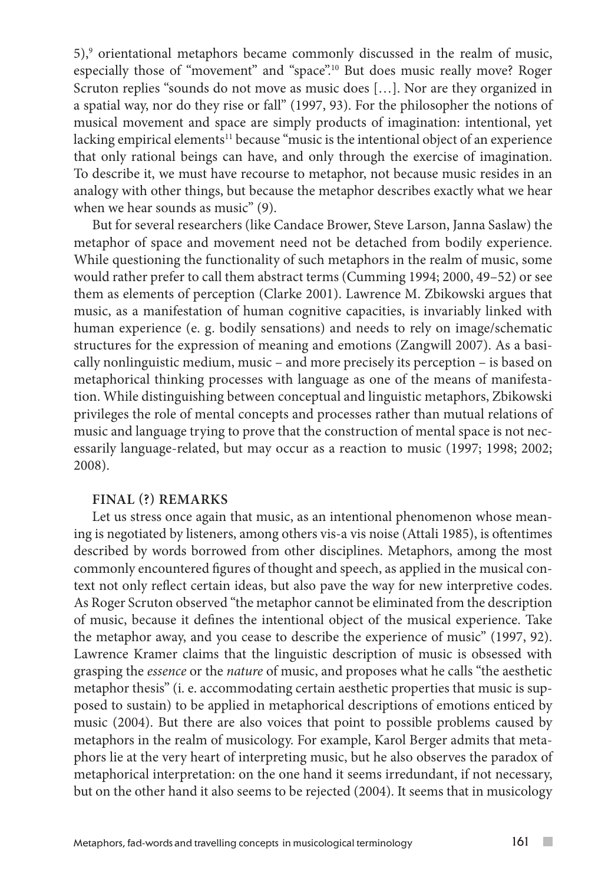5),9 orientational metaphors became commonly discussed in the realm of music, especially those of "movement" and "space".10 But does music really move? Roger Scruton replies "sounds do not move as music does […]. Nor are they organized in a spatial way, nor do they rise or fall" (1997, 93). For the philosopher the notions of musical movement and space are simply products of imagination: intentional, yet lacking empirical elements<sup>11</sup> because "music is the intentional object of an experience that only rational beings can have, and only through the exercise of imagination. To describe it, we must have recourse to metaphor, not because music resides in an analogy with other things, but because the metaphor describes exactly what we hear when we hear sounds as music" (9).

But for several researchers (like Candace Brower, Steve Larson, Janna Saslaw) the metaphor of space and movement need not be detached from bodily experience. While questioning the functionality of such metaphors in the realm of music, some would rather prefer to call them abstract terms (Cumming 1994; 2000, 49–52) or see them as elements of perception (Clarke 2001). Lawrence M. Zbikowski argues that music, as a manifestation of human cognitive capacities, is invariably linked with human experience (e. g. bodily sensations) and needs to rely on image/schematic structures for the expression of meaning and emotions (Zangwill 2007). As a basically nonlinguistic medium, music – and more precisely its perception – is based on metaphorical thinking processes with language as one of the means of manifestation. While distinguishing between conceptual and linguistic metaphors, Zbikowski privileges the role of mental concepts and processes rather than mutual relations of music and language trying to prove that the construction of mental space is not necessarily language-related, but may occur as a reaction to music (1997; 1998; 2002; 2008).

## **Final (?) remarks**

Let us stress once again that music, as an intentional phenomenon whose meaning is negotiated by listeners, among others vis-a vis noise (Attali 1985), is oftentimes described by words borrowed from other disciplines. Metaphors, among the most commonly encountered figures of thought and speech, as applied in the musical context not only reflect certain ideas, but also pave the way for new interpretive codes. As Roger Scruton observed "the metaphor cannot be eliminated from the description of music, because it defines the intentional object of the musical experience. Take the metaphor away, and you cease to describe the experience of music" (1997, 92). Lawrence Kramer claims that the linguistic description of music is obsessed with grasping the *essence* or the *nature* of music, and proposes what he calls "the aesthetic metaphor thesis" (i. e. accommodating certain aesthetic properties that music is supposed to sustain) to be applied in metaphorical descriptions of emotions enticed by music (2004). But there are also voices that point to possible problems caused by metaphors in the realm of musicology. For example, Karol Berger admits that metaphors lie at the very heart of interpreting music, but he also observes the paradox of metaphorical interpretation: on the one hand it seems irredundant, if not necessary, but on the other hand it also seems to be rejected (2004). It seems that in musicology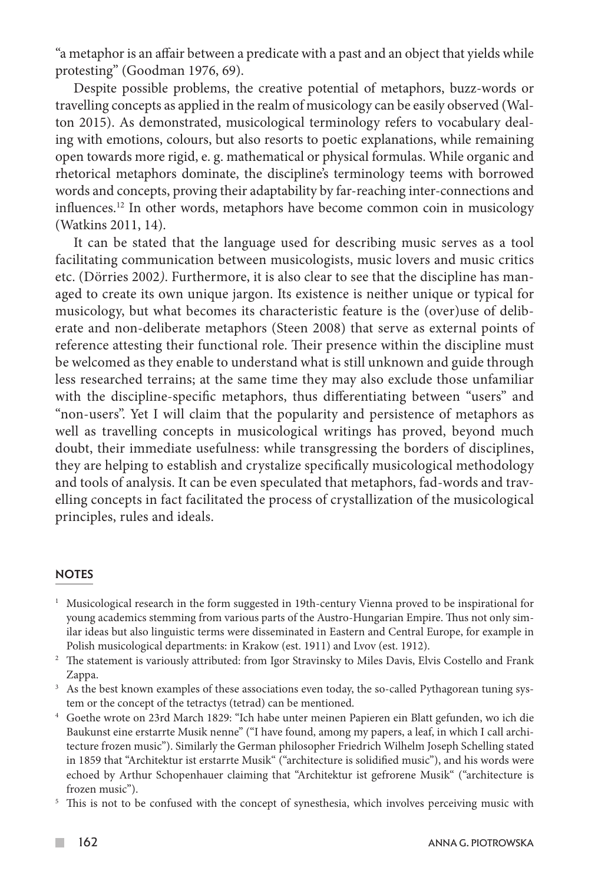"a metaphor is an affair between a predicate with a past and an object that yields while protesting" (Goodman 1976, 69).

Despite possible problems, the creative potential of metaphors, buzz-words or travelling concepts as applied in the realm of musicology can be easily observed (Walton 2015). As demonstrated, musicological terminology refers to vocabulary dealing with emotions, colours, but also resorts to poetic explanations, while remaining open towards more rigid, e. g. mathematical or physical formulas. While organic and rhetorical metaphors dominate, the discipline's terminology teems with borrowed words and concepts, proving their adaptability by far-reaching inter-connections and influences.12 In other words, metaphors have become common coin in musicology (Watkins 2011, 14).

It can be stated that the language used for describing music serves as a tool facilitating communication between musicologists, music lovers and music critics etc. (Dörries 2002*)*. Furthermore, it is also clear to see that the discipline has managed to create its own unique jargon. Its existence is neither unique or typical for musicology, but what becomes its characteristic feature is the (over)use of deliberate and non-deliberate metaphors (Steen 2008) that serve as external points of reference attesting their functional role. Their presence within the discipline must be welcomed as they enable to understand what is still unknown and guide through less researched terrains; at the same time they may also exclude those unfamiliar with the discipline-specific metaphors, thus differentiating between "users" and "non-users". Yet I will claim that the popularity and persistence of metaphors as well as travelling concepts in musicological writings has proved, beyond much doubt, their immediate usefulness: while transgressing the borders of disciplines, they are helping to establish and crystalize specifically musicological methodology and tools of analysis. It can be even speculated that metaphors, fad-words and travelling concepts in fact facilitated the process of crystallization of the musicological principles, rules and ideals.

## **NOTES**

- <sup>1</sup> Musicological research in the form suggested in 19th-century Vienna proved to be inspirational for young academics stemming from various parts of the Austro-Hungarian Empire. Thus not only similar ideas but also linguistic terms were disseminated in Eastern and Central Europe, for example in
- Polish musicological departments: in Krakow (est. 1911) and Lvov (est. 1912). 2 The statement is variously attributed: from Igor Stravinsky to Miles Davis, Elvis Costello and Frank Zappa.
- <sup>3</sup> As the best known examples of these associations even today, the so-called Pythagorean tuning sys-
- tem or the concept of the tetractys (tetrad) can be mentioned. 4 Goethe wrote on 23rd March 1829: "Ich habe unter meinen Papieren ein Blatt gefunden, wo ich die Baukunst eine erstarrte Musik nenne" ("I have found, among my papers, a leaf, in which I call architecture frozen music"). Similarly the German philosopher Friedrich Wilhelm Joseph Schelling stated in 1859 that "Architektur ist erstarrte Musik" ("architecture is solidified music"), and his words were echoed by Arthur Schopenhauer claiming that "Architektur ist gefrorene Musik" ("architecture is frozen music").  $\frac{5}{10}$  This is not to be confused with the concept of synesthesia, which involves perceiving music with
- 

 $\sim$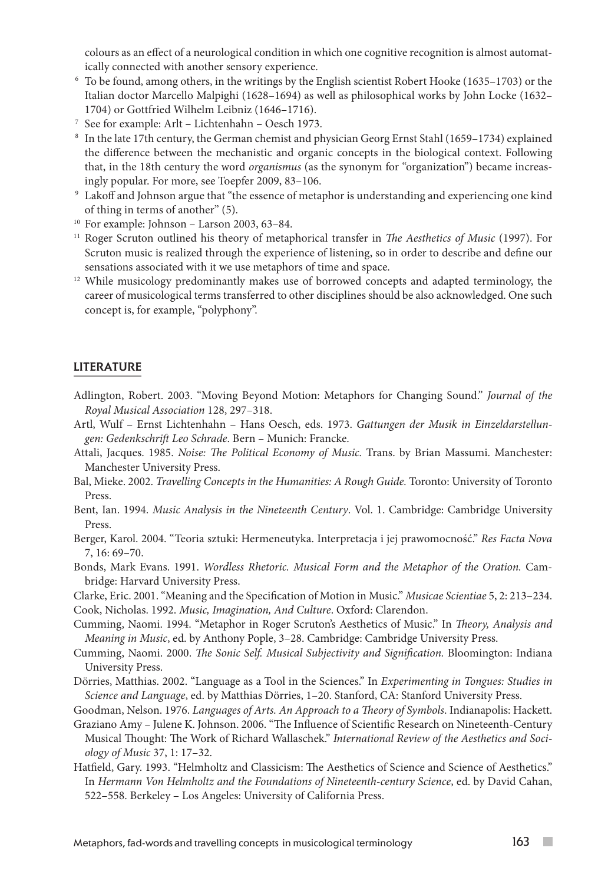colours as an effect of a neurological condition in which one cognitive recognition is almost automat-

- ically connected with another sensory experience. 6 To be found, among others, in the writings by the English scientist Robert Hooke (1635–1703) or the Italian doctor Marcello Malpighi (1628–1694) as well as philosophical works by John Locke (1632– 1704) or Gottfried Wilhelm Leibniz (1646–1716).<br><sup>7</sup> See for example: Arlt – Lichtenhahn – Oesch 1973.<br><sup>8</sup> In the late 17th century, the German chemist and physician Georg Ernst Stahl (1659–1734) explained
- 
- the difference between the mechanistic and organic concepts in the biological context. Following that, in the 18th century the word *organismus* (as the synonym for "organization") became increas-<br>ingly popular. For more, see Toepfer 2009, 83-106.
- <sup>9</sup> Lakoff and Johnson argue that "the essence of metaphor is understanding and experiencing one kind of thing in terms of another" (5).
- <sup>10</sup> For example: Johnson Larson 2003, 63–84.
- <sup>11</sup> Roger Scruton outlined his theory of metaphorical transfer in *The Aesthetics of Music* (1997). For Scruton music is realized through the experience of listening, so in order to describe and define our sensations associated with it we use metaphors of time and space. 12 While musicology predominantly makes use of borrowed concepts and adapted terminology, the
- career of musicological terms transferred to other disciplines should be also acknowledged. One such concept is, for example, "polyphony".

#### LITERATURE

- Adlington, Robert. 2003. "Moving Beyond Motion: Metaphors for Changing Sound." *Journal of the Royal Musical Association* 128, 297–318.
- Artl, Wulf Ernst Lichtenhahn Hans Oesch, eds. 1973. *Gattungen der Musik in Einzeldarstellungen: Gedenkschrift Leo Schrade*. Bern – Munich: Francke.
- Attali, Jacques. 1985. *Noise: The Political Economy of Music.* Trans. by Brian Massumi. Manchester: Manchester University Press.
- Bal, Mieke. 2002. *Travelling Concepts in the Humanities: A Rough Guide.* Toronto: University of Toronto Press.
- Bent, Ian. 1994. *Music Analysis in the Nineteenth Century*. Vol. 1. Cambridge: Cambridge University Press.
- Berger, Karol. 2004. "Teoria sztuki: Hermeneutyka. Interpretacja i jej prawomocność." *Res Facta Nova* 7, 16: 69–70.

Bonds, Mark Evans. 1991. *Wordless Rhetoric. Musical Form and the Metaphor of the Oration.* Cambridge: Harvard University Press.

Clarke, Eric. 2001. "Meaning and the Specification of Motion in Music." *Musicae Scientiae* 5, 2: 213–234. Cook, Nicholas. 1992. *Music, Imagination, And Culture*. Oxford: Clarendon.

- Cumming, Naomi. 1994. "Metaphor in Roger Scruton's Aesthetics of Music." In *Theory, Analysis and Meaning in Music*, ed. by Anthony Pople, 3–28. Cambridge: Cambridge University Press.
- Cumming, Naomi. 2000. *The Sonic Self. Musical Subjectivity and Signification.* Bloomington: Indiana University Press.
- Dörries, Matthias. 2002. "Language as a Tool in the Sciences." In *Experimenting in Tongues: Studies in Science and Language*, ed. by Matthias Dörries, 1–20. Stanford, CA: Stanford University Press.

Goodman, Nelson. 1976. *Languages of Arts. An Approach to a Theory of Symbols*. Indianapolis: Hackett.

- Graziano Amy Julene K. Johnson. 2006. "The Influence of Scientific Research on Nineteenth-Century Musical Thought: The Work of Richard Wallaschek." *International Review of the Aesthetics and Sociology of Music* 37, 1: 17–32.
- Hatfield, Gary. 1993. "Helmholtz and Classicism: The Aesthetics of Science and Science of Aesthetics." In *Hermann Von Helmholtz and the Foundations of Nineteenth-century Science*, ed. by David Cahan, 522–558. Berkeley – Los Angeles: University of California Press.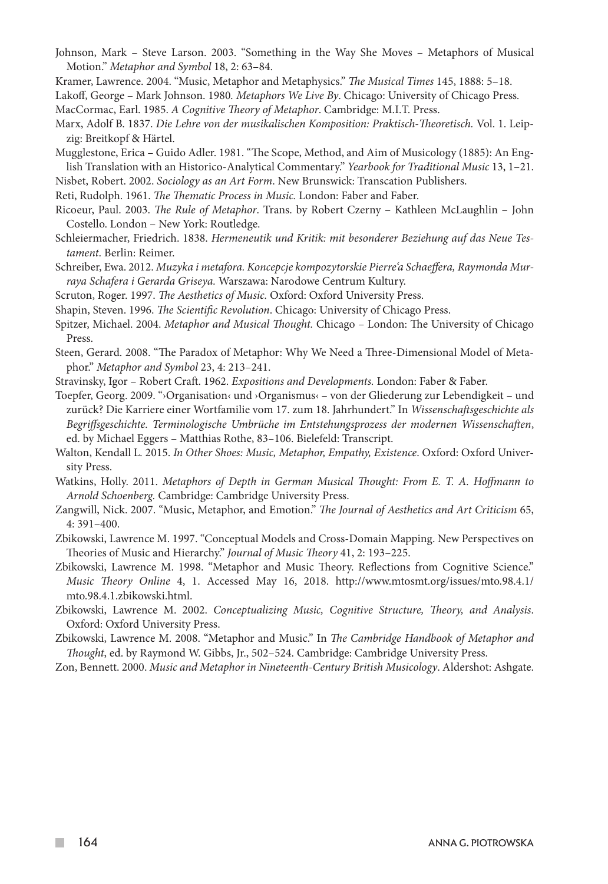- Johnson, Mark Steve Larson. 2003. "Something in the Way She Moves Metaphors of Musical Motion." *Metaphor and Symbol* 18, 2: 63–84.
- Kramer, Lawrence. 2004. "Music, Metaphor and Metaphysics." *The Musical Times* 145, 1888: 5–18.

Lakoff, George – Mark Johnson. 1980*. Metaphors We Live By*. Chicago: University of Chicago Press*.*

- MacCormac, Earl. 1985. *A Cognitive Theory of Metaphor*. Cambridge: M.I.T. Press.
- Marx, Adolf B. 1837. *Die Lehre von der musikalischen Komposition: Praktisch-Theoretisch.* Vol. 1. Leipzig: Breitkopf & Härtel.
- Mugglestone, Erica Guido Adler. 1981. "The Scope, Method, and Aim of Musicology (1885): An English Translation with an Historico-Analytical Commentary." *Yearbook for Traditional Music* 13, 1–21.
- Nisbet, Robert. 2002. *Sociology as an Art Form*. New Brunswick: Transcation Publishers.
- Reti, Rudolph. 1961. *The Thematic Process in Music.* London: Faber and Faber.
- Ricoeur, Paul. 2003. *The Rule of Metaphor*. Trans. by Robert Czerny Kathleen McLaughlin John Costello. London – New York: Routledge.
- Schleiermacher, Friedrich. 1838. *Hermeneutik und Kritik: mit besonderer Beziehung auf das Neue Testament*. Berlin: Reimer.
- Schreiber, Ewa. 2012. *Muzyka i metafora. Koncepcje kompozytorskie Pierre'a Schaeffera, Raymonda Murraya Schafera i Gerarda Griseya.* Warszawa: Narodowe Centrum Kultury.
- Scruton, Roger. 1997. *The Aesthetics of Music.* Oxford: Oxford University Press.
- Shapin, Steven. 1996. *The Scientific Revolution*. Chicago: University of Chicago Press.
- Spitzer, Michael. 2004. *Metaphor and Musical Thought.* Chicago London: The University of Chicago Press.
- Steen, Gerard. 2008. "The Paradox of Metaphor: Why We Need a Three-Dimensional Model of Metaphor." *Metaphor and Symbol* 23, 4: 213–241.
- Stravinsky, Igor Robert Craft. 1962. *Expositions and Developments.* London: Faber & Faber.

Toepfer, Georg. 2009. "›Organisation‹ und ›Organismus‹ – von der Gliederung zur Lebendigkeit – und zurück? Die Karriere einer Wortfamilie vom 17. zum 18. Jahrhundert." In *Wissenschaftsgeschichte als Begriffsgeschichte. Terminologische Umbrüche im Entstehungsprozess der modernen Wissenschaften*, ed. by Michael Eggers – Matthias Rothe, 83–106. Bielefeld: Transcript.

- Walton, Kendall L*.* 2015. *In Other Shoes: Music, Metaphor, Empathy, Existence*. Oxford: Oxford University Press.
- Watkins, Holly. 2011. *Metaphors of Depth in German Musical Thought: From E. T. A. Hoffmann to Arnold Schoenberg.* Cambridge: Cambridge University Press.
- Zangwill, Nick. 2007. "Music, Metaphor, and Emotion." *The Journal of Aesthetics and Art Criticism* 65, 4: 391–400.
- Zbikowski, Lawrence M. 1997. "Conceptual Models and Cross-Domain Mapping. New Perspectives on Theories of Music and Hierarchy." *Journal of Music Theory* 41, 2: 193–225.
- Zbikowski, Lawrence M. 1998. "Metaphor and Music Theory. Reflections from Cognitive Science." *Music Theory Online* 4, 1. Accessed May 16, 2018. http://www.mtosmt.org/issues/mto.98.4.1/ mto.98.4.1.zbikowski.html.
- Zbikowski, Lawrence M. 2002. *Conceptualizing Music, Cognitive Structure, Theory, and Analysis*. Oxford: Oxford University Press.
- Zbikowski, Lawrence M. 2008. "Metaphor and Music." In *The Cambridge Handbook of Metaphor and Thought*, ed. by Raymond W. Gibbs, Jr., 502–524. Cambridge: Cambridge University Press.
- Zon, Bennett. 2000. *Music and Metaphor in Nineteenth-Century British Musicology*. Aldershot: Ashgate.

**Tall**